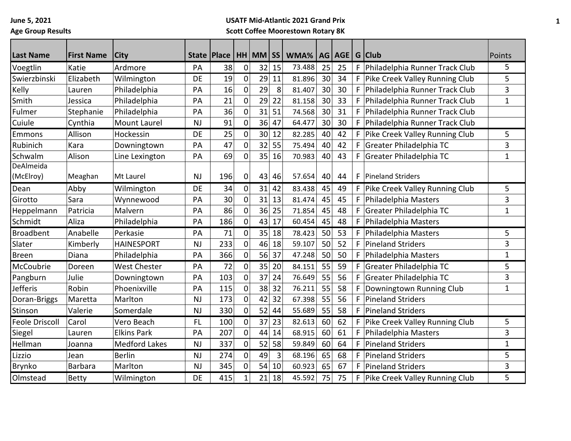**June 5, 2021 Age Group Results**

## **USATF Mid-Atlantic 2021 Grand Prix Scott Coffee Moorestown Rotary 8K**

| <b>Last Name</b>      | <b>First Name</b> | <b>City</b>          | <b>State</b> | <b>Place</b> |                | $HH$ MM $ SS $ |    | WMA%   |    | AG AGE |    | G Club                           | Points      |
|-----------------------|-------------------|----------------------|--------------|--------------|----------------|----------------|----|--------|----|--------|----|----------------------------------|-------------|
| Voegtlin              | Katie             | Ardmore              | PA           | 38           | 0              | 32             | 15 | 73.488 | 25 | 25     | F. | Philadelphia Runner Track Club   | 5           |
| Swierzbinski          | Elizabeth         | Wilmington           | <b>DE</b>    | 19           | 0              | 29             | 11 | 81.896 | 30 | 34     |    | F Pike Creek Valley Running Club | 5           |
| Kelly                 | Lauren            | Philadelphia         | PA           | 16           | 0              | 29             | 8  | 81.407 | 30 | 30     | F. | Philadelphia Runner Track Club   | 3           |
| Smith                 | Jessica           | Philadelphia         | PA           | 21           | 0              | 29             | 22 | 81.158 | 30 | 33     | F. | Philadelphia Runner Track Club   | $\mathbf 1$ |
| Fulmer                | Stephanie         | Philadelphia         | PA           | 36           | 0              | 31             | 51 | 74.568 | 30 | 31     | F  | Philadelphia Runner Track Club   |             |
| Cuiule                | Cynthia           | Mount Laurel         | <b>NJ</b>    | 91           | 0              | 36             | 47 | 64.477 | 30 | 30     | F. | Philadelphia Runner Track Club   |             |
|                       | Allison           | Hockessin            | <b>DE</b>    | 25           | 0              | 30             | 12 | 82.285 | 40 | 42     |    | F Pike Creek Valley Running Club | 5           |
| Emmons<br>Rubinich    | Kara              |                      | PA           | 47           | 0              | 32             | 55 | 75.494 | 40 | 42     | F. | Greater Philadelphia TC          |             |
| Schwalm               |                   | Downingtown          |              | 69           |                | 35             |    |        |    |        | F. |                                  | 3           |
| DeAlmeida             | Alison            | Line Lexington       | PA           |              | 0              |                | 16 | 70.983 | 40 | 43     |    | Greater Philadelphia TC          | $\mathbf 1$ |
| (McElroy)             | Meaghan           | Mt Laurel            | <b>NJ</b>    | 196          | 0              | 43             | 46 | 57.654 | 40 | 44     | F. | Pineland Striders                |             |
| Dean                  | Abby              | Wilmington           | DE           | 34           | 0              | 31             | 42 | 83.438 | 45 | 49     | F. | Pike Creek Valley Running Club   | 5           |
| Girotto               | Sara              | Wynnewood            | PA           | 30           | 0              | 31             | 13 | 81.474 | 45 | 45     | F  | Philadelphia Masters             | 3           |
| Heppelmann            | Patricia          | Malvern              | PA           | 86           | 0              | 36             | 25 | 71.854 | 45 | 48     | F. | Greater Philadelphia TC          | $\mathbf 1$ |
| Schmidt               | Aliza             | Philadelphia         | PA           | 186          | 0              | 43             | 17 | 60.454 | 45 | 48     | F. | Philadelphia Masters             |             |
| <b>Broadbent</b>      | Anabelle          | Perkasie             | PA           | 71           | $\overline{0}$ | 35             | 18 | 78.423 | 50 | 53     | F. | Philadelphia Masters             | 5           |
| Slater                | Kimberly          | <b>HAINESPORT</b>    | <b>NJ</b>    | 233          | 0              | 46             | 18 | 59.107 | 50 | 52     | F  | <b>Pineland Striders</b>         | 3           |
| <b>Breen</b>          | Diana             | Philadelphia         | PA           | 366          | 0              | 56             | 37 | 47.248 | 50 | 50     | F. | Philadelphia Masters             | $\mathbf 1$ |
| McCoubrie             | Doreen            | <b>West Chester</b>  | PA           | 72           | 0              | 35             | 20 | 84.151 | 55 | 59     | F. | Greater Philadelphia TC          | 5           |
| Pangburn              | Julie             | Downingtown          | PA           | 103          | 0              | 37             | 24 | 76.649 | 55 | 56     | F. | Greater Philadelphia TC          | 3           |
| <b>Jefferis</b>       | Robin             | Phoenixville         | PA           | 115          | 0              | 38             | 32 | 76.211 | 55 | 58     |    | Downingtown Running Club         | $\mathbf 1$ |
| Doran-Briggs          | Maretta           | Marlton              | <b>NJ</b>    | 173          | 0              | 42             | 32 | 67.398 | 55 | 56     | F  | <b>Pineland Striders</b>         |             |
| Stinson               | Valerie           | Somerdale            | <b>NJ</b>    | 330          | $\overline{0}$ | 52             | 44 | 55.689 | 55 | 58     | F  | <b>Pineland Striders</b>         |             |
| <b>Feole Driscoll</b> | Carol             | Vero Beach           | <b>FL</b>    | 100          | 0              | 37             | 23 | 82.613 | 60 | 62     | F. | Pike Creek Valley Running Club   | 5           |
| Siegel                | Lauren            | <b>Elkins Park</b>   | PA           | 207          | 0              | 44             | 14 | 68.915 | 60 | 61     | F. | Philadelphia Masters             | 3           |
| Hellman               | Joanna            | <b>Medford Lakes</b> | <b>NJ</b>    | 337          | 0              | 52             | 58 | 59.849 | 60 | 64     | F. | <b>Pineland Striders</b>         | $\mathbf 1$ |
| Lizzio                | Jean              | <b>Berlin</b>        | <b>NJ</b>    | 274          | 0              | 49             | 3  | 68.196 | 65 | 68     | F. | <b>Pineland Striders</b>         | 5           |
| Brynko                | <b>Barbara</b>    | Marlton              | <b>NJ</b>    | 345          | 0              | 54             | 10 | 60.923 | 65 | 67     | F  | <b>Pineland Striders</b>         | 3           |
| Olmstead              | <b>Betty</b>      | Wilmington           | DE           | 415          |                | 21             | 18 | 45.592 | 75 | 75     | F. | Pike Creek Valley Running Club   | 5           |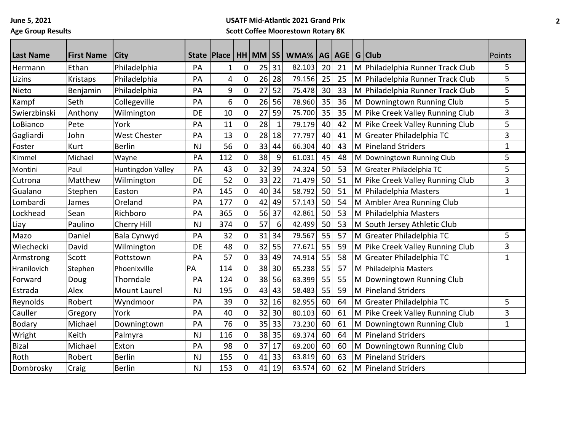**June 5, 2021 Age Group Results**

## **USATF Mid-Atlantic 2021 Grand Prix Scott Coffee Moorestown Rotary 8K**

| <b>Last Name</b>      | <b>First Name</b> | <b>City</b>         | State   Place |                 |             | HH MM SS |              | WMA%   |    | AG   AGE | G Club                           | Points       |
|-----------------------|-------------------|---------------------|---------------|-----------------|-------------|----------|--------------|--------|----|----------|----------------------------------|--------------|
| Hermann               | Ethan             | Philadelphia        | PA            | $\mathbf{1}$    | 0           | 25       | 31           | 82.103 | 20 | 21       | M Philadelphia Runner Track Club | 5            |
| Lizins                | Kristaps          | Philadelphia        | PA            | $\vert 4 \vert$ | 0           | 26       | 28           | 79.156 | 25 | 25       | M Philadelphia Runner Track Club | 5            |
| Nieto                 | Benjamin          | Philadelphia        | PA            | 9               | 0           | 27       | 52           | 75.478 | 30 | 33       | M Philadelphia Runner Track Club | 5            |
|                       | Seth              | Collegeville        | PA            | $6 \mid$        | 0           | 26       | 56           | 78.960 | 35 | 36       | M Downingtown Running Club       | 5            |
| Kampf<br>Swierzbinski | Anthony           |                     | DE            | 10              | 0           | 27       | 59           | 75.700 | 35 | 35       | M Pike Creek Valley Running Club | 3            |
| LoBianco              | Pete              | Wilmington<br>York  |               |                 |             | 28       | $\mathbf{1}$ | 79.179 | 40 |          |                                  | 5            |
|                       |                   |                     | PA            | 11<br>13        | 0           |          |              |        |    | 42       | M Pike Creek Valley Running Club |              |
| Gagliardi             | John              | <b>West Chester</b> | PA            |                 | 0           | 28       | 18           | 77.797 | 40 | 41       | M Greater Philadelphia TC        | 3            |
| Foster                | Kurt              | <b>Berlin</b>       | <b>NJ</b>     | 56              | 0           | 33       | 44           | 66.304 | 40 | 43       | M Pineland Striders              | $\mathbf 1$  |
| Kimmel                | Michael           | Wayne               | PA            | 112             | 0           | 38       | 9            | 61.031 | 45 | 48       | M Downingtown Running Club       | 5            |
| Montini               | Paul              | Huntingdon Valley   | PA            | 43              | 0           | 32       | 39           | 74.324 | 50 | 53       | M Greater Philadelphia TC        | 5            |
| Cutrona               | Matthew           | Wilmington          | DE            | 52              | $\mathbf 0$ | 33       | 22           | 71.479 | 50 | 51       | M Pike Creek Valley Running Club | 3            |
| Gualano               | Stephen           | Easton              | PA            | 145             | 0           | 40       | 34           | 58.792 | 50 | 51       | M Philadelphia Masters           | $\mathbf{1}$ |
| Lombardi              | James             | Oreland             | PA            | 177             | 0           | 42       | 49           | 57.143 | 50 | 54       | M Ambler Area Running Club       |              |
| Lockhead              | Sean              | Richboro            | PA            | 365             | 0           | 56       | 37           | 42.861 | 50 | 53       | M Philadelphia Masters           |              |
| Liay                  | Paulino           | Cherry Hill         | <b>NJ</b>     | 374             | 0           | 57       | 6            | 42.499 | 50 | 53       | M South Jersey Athletic Club     |              |
| Mazo                  | Daniel            | Bala Cynwyd         | PA            | 32              | 0           | 31       | 34           | 79.567 | 55 | 57       | M Greater Philadelphia TC        | 5            |
| Wiechecki             | David             | Wilmington          | DE            | 48              | 0           | 32       | 55           | 77.671 | 55 | 59       | M Pike Creek Valley Running Club | 3            |
| Armstrong             | Scott             | Pottstown           | PA            | 57              | 0           | 33       | 49           | 74.914 | 55 | 58       | M Greater Philadelphia TC        | 1            |
| Hranilovich           | Stephen           | Phoenixville        | PA            | 114             | 0           | 38       | 30           | 65.238 | 55 | 57       | M Philadelphia Masters           |              |
| Forward               | Doug              | Thorndale           | PA            | 124             | $\mathbf 0$ | 38       | 56           | 63.399 | 55 | 55       | M Downingtown Running Club       |              |
| Estrada               | Alex              | <b>Mount Laurel</b> | <b>NJ</b>     | 195             | 0           | 43       | 43           | 58.483 | 55 | 59       | M Pineland Striders              |              |
| Reynolds              | Robert            | Wyndmoor            | PA            | 39              | 0           | 32       | 16           | 82.955 | 60 | 64       | M Greater Philadelphia TC        | 5            |
| Cauller               | Gregory           | York                | PA            | 40              | 0           | 32       | 30           | 80.103 | 60 | 61       | M Pike Creek Valley Running Club | 3            |
| <b>Bodary</b>         | Michael           | Downingtown         | PA            | 76              | 0           | 35       | 33           | 73.230 | 60 | 61       | M Downingtown Running Club       | 1            |
| Wright                | Keith             | Palmyra             | <b>NJ</b>     | 116             | 0           | 38       | 35           | 69.374 | 60 | 64       | M Pineland Striders              |              |
| <b>Bizal</b>          | Michael           | Exton               | PA            | 98              | 0           | 37       | 17           | 69.200 | 60 | 60       | M Downingtown Running Club       |              |
| Roth                  | Robert            | <b>Berlin</b>       | <b>NJ</b>     | 155             | 0           | 41       | 33           | 63.819 | 60 | 63       | M Pineland Striders              |              |
| Dombrosky             | Craig             | <b>Berlin</b>       | <b>NJ</b>     | 153             | 0           | 41       | 19           | 63.574 | 60 | 62       | M Pineland Striders              |              |